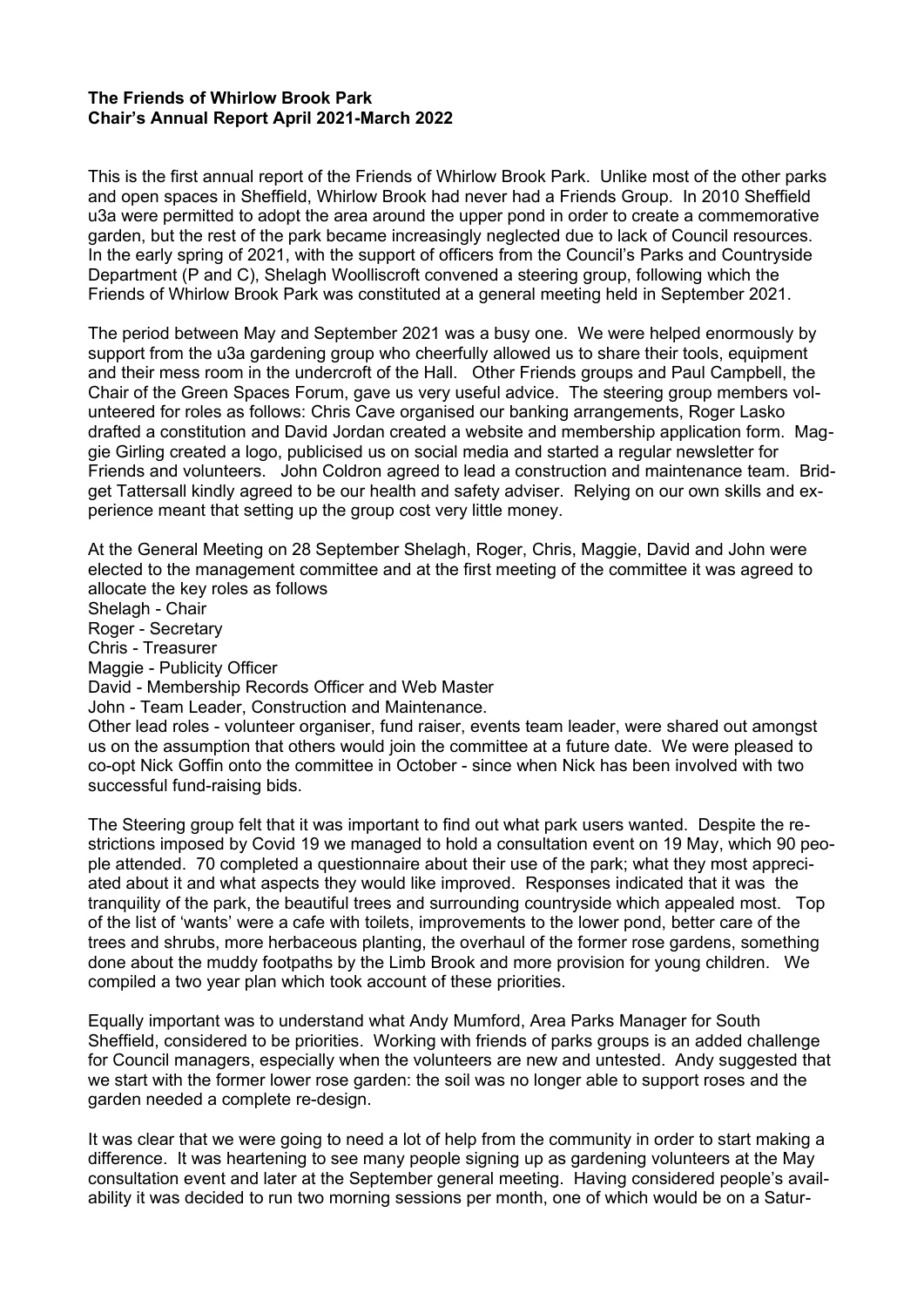## **The Friends of Whirlow Brook Park Chair's Annual Report April 2021-March 2022**

This is the first annual report of the Friends of Whirlow Brook Park. Unlike most of the other parks and open spaces in Sheffield, Whirlow Brook had never had a Friends Group. In 2010 Sheffield u3a were permitted to adopt the area around the upper pond in order to create a commemorative garden, but the rest of the park became increasingly neglected due to lack of Council resources. In the early spring of 2021, with the support of officers from the Council's Parks and Countryside Department (P and C), Shelagh Woolliscroft convened a steering group, following which the Friends of Whirlow Brook Park was constituted at a general meeting held in September 2021.

The period between May and September 2021 was a busy one. We were helped enormously by support from the u3a gardening group who cheerfully allowed us to share their tools, equipment and their mess room in the undercroft of the Hall. Other Friends groups and Paul Campbell, the Chair of the Green Spaces Forum, gave us very useful advice. The steering group members volunteered for roles as follows: Chris Cave organised our banking arrangements, Roger Lasko drafted a constitution and David Jordan created a website and membership application form. Maggie Girling created a logo, publicised us on social media and started a regular newsletter for Friends and volunteers. John Coldron agreed to lead a construction and maintenance team. Bridget Tattersall kindly agreed to be our health and safety adviser. Relying on our own skills and experience meant that setting up the group cost very little money.

At the General Meeting on 28 September Shelagh, Roger, Chris, Maggie, David and John were elected to the management committee and at the first meeting of the committee it was agreed to allocate the key roles as follows

Shelagh - Chair Roger - Secretary Chris - Treasurer Maggie - Publicity Officer David - Membership Records Officer and Web Master John - Team Leader, Construction and Maintenance. Other lead roles - volunteer organiser, fund raiser, events team leader, were shared out amongst us on the assumption that others would join the committee at a future date. We were pleased to co-opt Nick Goffin onto the committee in October - since when Nick has been involved with two successful fund-raising bids.

The Steering group felt that it was important to find out what park users wanted. Despite the restrictions imposed by Covid 19 we managed to hold a consultation event on 19 May, which 90 people attended. 70 completed a questionnaire about their use of the park; what they most appreciated about it and what aspects they would like improved. Responses indicated that it was the tranquility of the park, the beautiful trees and surrounding countryside which appealed most. Top of the list of 'wants' were a cafe with toilets, improvements to the lower pond, better care of the trees and shrubs, more herbaceous planting, the overhaul of the former rose gardens, something done about the muddy footpaths by the Limb Brook and more provision for young children. We compiled a two year plan which took account of these priorities.

Equally important was to understand what Andy Mumford, Area Parks Manager for South Sheffield, considered to be priorities. Working with friends of parks groups is an added challenge for Council managers, especially when the volunteers are new and untested. Andy suggested that we start with the former lower rose garden: the soil was no longer able to support roses and the garden needed a complete re-design.

It was clear that we were going to need a lot of help from the community in order to start making a difference. It was heartening to see many people signing up as gardening volunteers at the May consultation event and later at the September general meeting. Having considered people's availability it was decided to run two morning sessions per month, one of which would be on a Satur-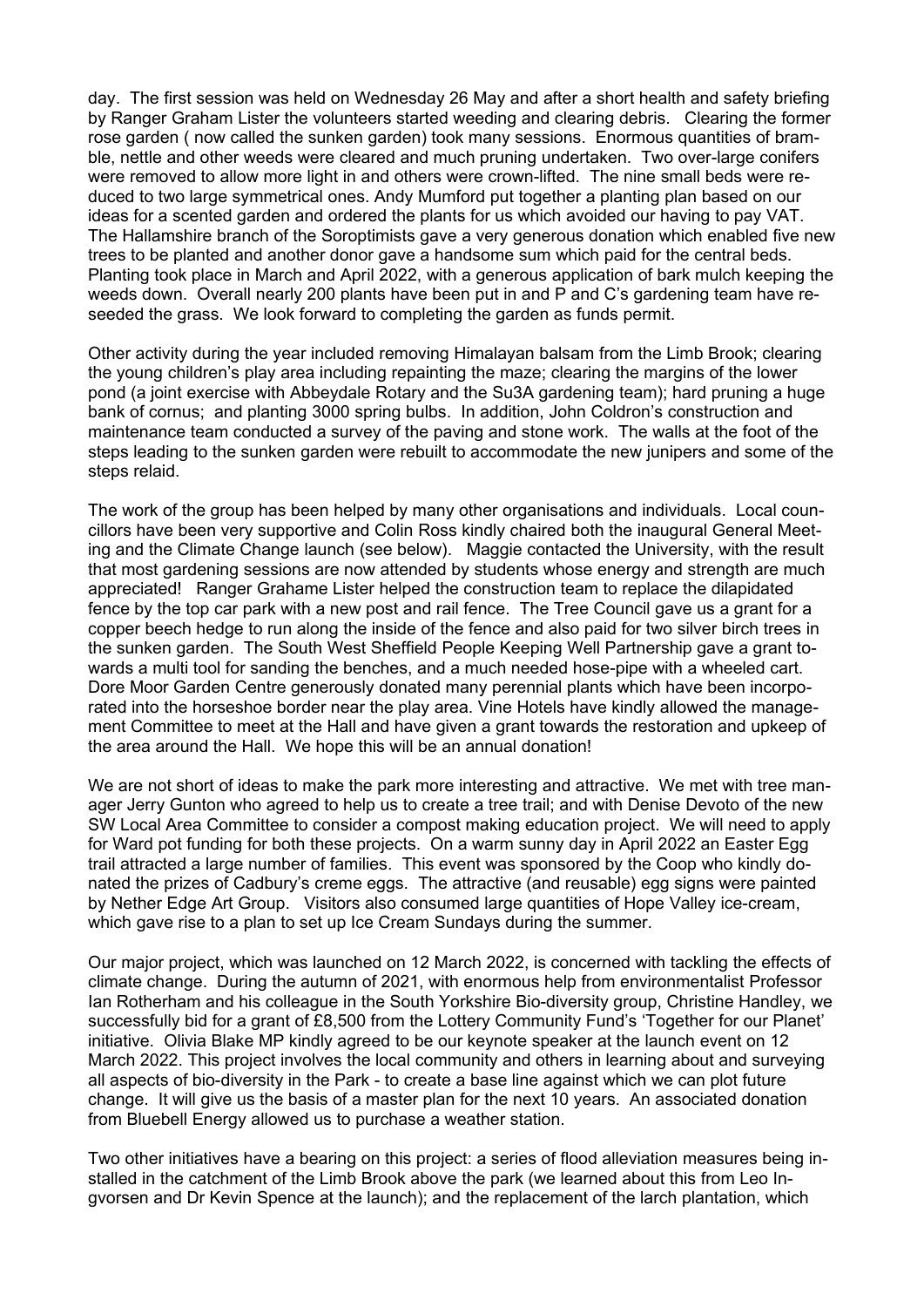day. The first session was held on Wednesday 26 May and after a short health and safety briefing by Ranger Graham Lister the volunteers started weeding and clearing debris. Clearing the former rose garden ( now called the sunken garden) took many sessions. Enormous quantities of bramble, nettle and other weeds were cleared and much pruning undertaken. Two over-large conifers were removed to allow more light in and others were crown-lifted. The nine small beds were reduced to two large symmetrical ones. Andy Mumford put together a planting plan based on our ideas for a scented garden and ordered the plants for us which avoided our having to pay VAT. The Hallamshire branch of the Soroptimists gave a very generous donation which enabled five new trees to be planted and another donor gave a handsome sum which paid for the central beds. Planting took place in March and April 2022, with a generous application of bark mulch keeping the weeds down. Overall nearly 200 plants have been put in and P and C's gardening team have reseeded the grass. We look forward to completing the garden as funds permit.

Other activity during the year included removing Himalayan balsam from the Limb Brook; clearing the young children's play area including repainting the maze; clearing the margins of the lower pond (a joint exercise with Abbeydale Rotary and the Su3A gardening team); hard pruning a huge bank of cornus; and planting 3000 spring bulbs. In addition, John Coldron's construction and maintenance team conducted a survey of the paving and stone work. The walls at the foot of the steps leading to the sunken garden were rebuilt to accommodate the new junipers and some of the steps relaid.

The work of the group has been helped by many other organisations and individuals. Local councillors have been very supportive and Colin Ross kindly chaired both the inaugural General Meeting and the Climate Change launch (see below). Maggie contacted the University, with the result that most gardening sessions are now attended by students whose energy and strength are much appreciated! Ranger Grahame Lister helped the construction team to replace the dilapidated fence by the top car park with a new post and rail fence. The Tree Council gave us a grant for a copper beech hedge to run along the inside of the fence and also paid for two silver birch trees in the sunken garden. The South West Sheffield People Keeping Well Partnership gave a grant towards a multi tool for sanding the benches, and a much needed hose-pipe with a wheeled cart. Dore Moor Garden Centre generously donated many perennial plants which have been incorporated into the horseshoe border near the play area. Vine Hotels have kindly allowed the management Committee to meet at the Hall and have given a grant towards the restoration and upkeep of the area around the Hall. We hope this will be an annual donation!

We are not short of ideas to make the park more interesting and attractive. We met with tree manager Jerry Gunton who agreed to help us to create a tree trail; and with Denise Devoto of the new SW Local Area Committee to consider a compost making education project. We will need to apply for Ward pot funding for both these projects. On a warm sunny day in April 2022 an Easter Egg trail attracted a large number of families. This event was sponsored by the Coop who kindly donated the prizes of Cadbury's creme eggs. The attractive (and reusable) egg signs were painted by Nether Edge Art Group. Visitors also consumed large quantities of Hope Valley ice-cream, which gave rise to a plan to set up Ice Cream Sundays during the summer.

Our major project, which was launched on 12 March 2022, is concerned with tackling the effects of climate change. During the autumn of 2021, with enormous help from environmentalist Professor Ian Rotherham and his colleague in the South Yorkshire Bio-diversity group, Christine Handley, we successfully bid for a grant of £8,500 from the Lottery Community Fund's 'Together for our Planet' initiative. Olivia Blake MP kindly agreed to be our keynote speaker at the launch event on 12 March 2022. This project involves the local community and others in learning about and surveying all aspects of bio-diversity in the Park - to create a base line against which we can plot future change. It will give us the basis of a master plan for the next 10 years. An associated donation from Bluebell Energy allowed us to purchase a weather station.

Two other initiatives have a bearing on this project: a series of flood alleviation measures being installed in the catchment of the Limb Brook above the park (we learned about this from Leo Ingvorsen and Dr Kevin Spence at the launch); and the replacement of the larch plantation, which